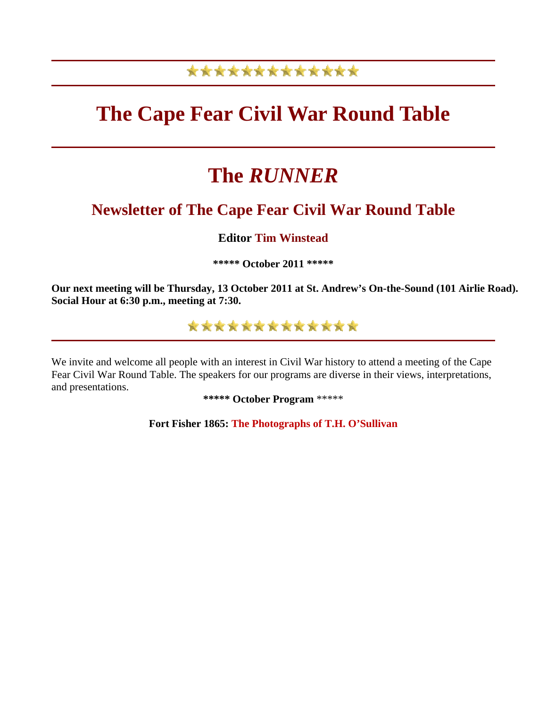# \*\*\*\*\*\*\*\*\*\*\*\*\*

# **The Cape Fear Civil War Round Table**

# **The** *RUNNER*

# **Newsletter of The Cape Fear Civil War Round Table**

# **Editor Tim Winstead**

**\*\*\*\*\* October 2011 \*\*\*\*\*** 

**Our next meeting will be Thursday, 13 October 2011 at St. Andrew's On-the-Sound (101 Airlie Road). Social Hour at 6:30 p.m., meeting at 7:30.**

# \*\*\*\*\*\*\*\*\*\*\*\*\*

We invite and welcome all people with an interest in Civil War history to attend a meeting of the Cape Fear Civil War Round Table. The speakers for our programs are diverse in their views, interpretations, and presentations.

**\*\*\*\*\* October Program** \*\*\*\*\*

**Fort Fisher 1865: The Photographs of T.H. O'Sullivan**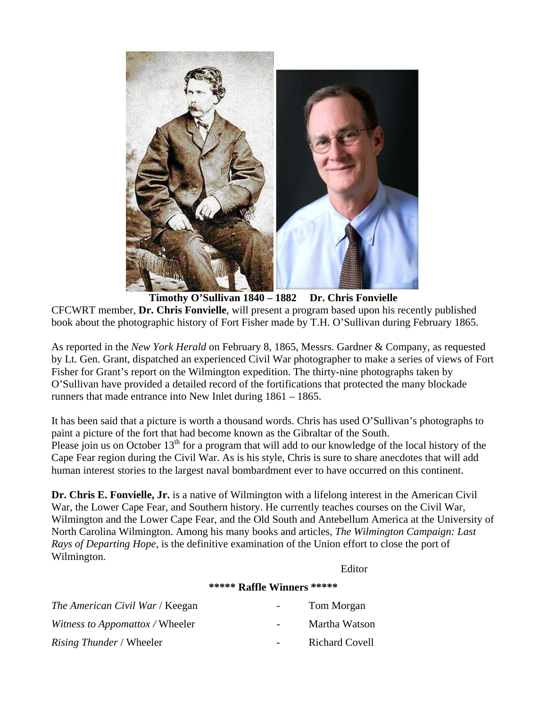

**Timothy O'Sullivan 1840 – 1882 Dr. Chris Fonvielle** CFCWRT member, **Dr. Chris Fonvielle**, will present a program based upon his recently published book about the photographic history of Fort Fisher made by T.H. O'Sullivan during February 1865.

As reported in the *New York Herald* on February 8, 1865, Messrs. Gardner & Company, as requested by Lt. Gen. Grant, dispatched an experienced Civil War photographer to make a series of views of Fort Fisher for Grant's report on the Wilmington expedition. The thirty-nine photographs taken by O'Sullivan have provided a detailed record of the fortifications that protected the many blockade runners that made entrance into New Inlet during 1861 – 1865.

It has been said that a picture is worth a thousand words. Chris has used O'Sullivan's photographs to paint a picture of the fort that had become known as the Gibraltar of the South. Please join us on October  $13<sup>th</sup>$  for a program that will add to our knowledge of the local history of the Cape Fear region during the Civil War. As is his style, Chris is sure to share anecdotes that will add human interest stories to the largest naval bombardment ever to have occurred on this continent.

**Dr. Chris E. Fonvielle, Jr.** is a native of Wilmington with a lifelong interest in the American Civil War, the Lower Cape Fear, and Southern history. He currently teaches courses on the Civil War, Wilmington and the Lower Cape Fear, and the Old South and Antebellum America at the University of North Carolina Wilmington. Among his many books and articles, *The Wilmington Campaign: Last Rays of Departing Hope*, is the definitive examination of the Union effort to close the port of Wilmington.

Editor

#### **\*\*\*\*\* Raffle Winners \*\*\*\*\***

| <i>The American Civil War / Keegan</i> |        | Tom Morgan            |
|----------------------------------------|--------|-----------------------|
| <i>Witness to Appomattox</i> / Wheeler | $\sim$ | Martha Watson         |
| <i>Rising Thunder / Wheeler</i>        |        | <b>Richard Covell</b> |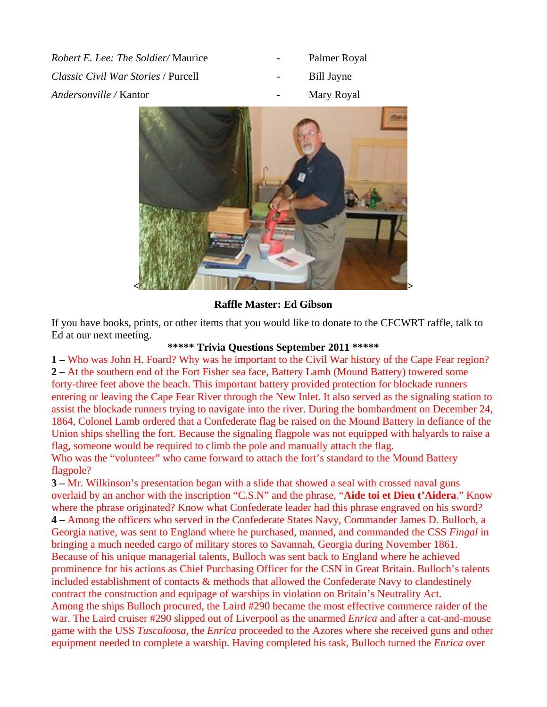*Robert E. Lee: The Soldier/* Maurice - Palmer Royal *Classic Civil War Stories* / Purcell - Bill Jayne *Andersonville /* Kantor - Mary Royal

- 
- 
- 



### **Raffle Master: Ed Gibson**

If you have books, prints, or other items that you would like to donate to the CFCWRT raffle, talk to Ed at our next meeting.

# **\*\*\*\*\* Trivia Questions September 2011 \*\*\*\*\***

**1 –** Who was John H. Foard? Why was he important to the Civil War history of the Cape Fear region? **2 –** At the southern end of the Fort Fisher sea face, Battery Lamb (Mound Battery) towered some forty-three feet above the beach. This important battery provided protection for blockade runners entering or leaving the Cape Fear River through the New Inlet. It also served as the signaling station to assist the blockade runners trying to navigate into the river. During the bombardment on December 24, 1864, Colonel Lamb ordered that a Confederate flag be raised on the Mound Battery in defiance of the Union ships shelling the fort. Because the signaling flagpole was not equipped with halyards to raise a flag, someone would be required to climb the pole and manually attach the flag.

Who was the "volunteer" who came forward to attach the fort's standard to the Mound Battery flagpole?

**3 –** Mr. Wilkinson's presentation began with a slide that showed a seal with crossed naval guns overlaid by an anchor with the inscription "C.S.N" and the phrase, "**Aide toi et Dieu t'Aidera**." Know where the phrase originated? Know what Confederate leader had this phrase engraved on his sword? **4 –** Among the officers who served in the Confederate States Navy, Commander James D. Bulloch, a Georgia native, was sent to England where he purchased, manned, and commanded the CSS *Fingal* in bringing a much needed cargo of military stores to Savannah, Georgia during November 1861. Because of his unique managerial talents, Bulloch was sent back to England where he achieved prominence for his actions as Chief Purchasing Officer for the CSN in Great Britain. Bulloch's talents included establishment of contacts & methods that allowed the Confederate Navy to clandestinely contract the construction and equipage of warships in violation on Britain's Neutrality Act. Among the ships Bulloch procured, the Laird #290 became the most effective commerce raider of the war. The Laird cruiser #290 slipped out of Liverpool as the unarmed *Enrica* and after a cat-and-mouse game with the USS *Tuscaloosa,* the *Enrica* proceeded to the Azores where she received guns and other equipment needed to complete a warship. Having completed his task, Bulloch turned the *Enrica* over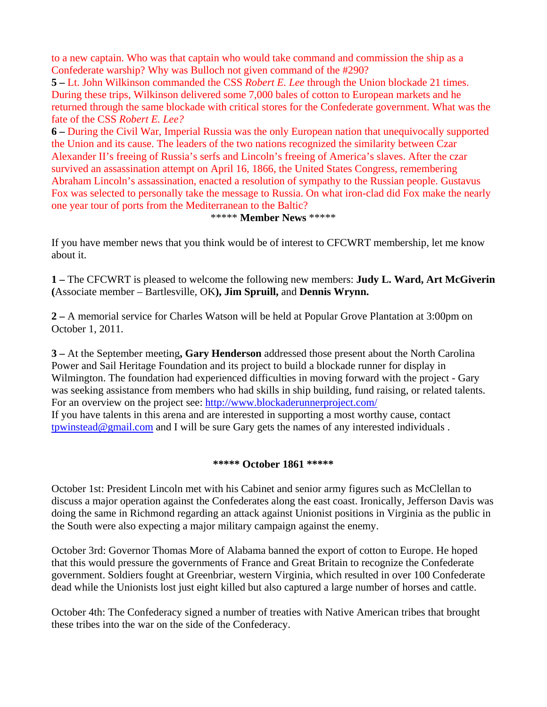to a new captain. Who was that captain who would take command and commission the ship as a Confederate warship? Why was Bulloch not given command of the #290?

**5 –** Lt. John Wilkinson commanded the CSS *Robert E. Lee* through the Union blockade 21 times. During these trips, Wilkinson delivered some 7,000 bales of cotton to European markets and he returned through the same blockade with critical stores for the Confederate government. What was the fate of the CSS *Robert E. Lee?*

**6 –** During the Civil War, Imperial Russia was the only European nation that unequivocally supported the Union and its cause. The leaders of the two nations recognized the similarity between Czar Alexander II's freeing of Russia's serfs and Lincoln's freeing of America's slaves. After the czar survived an assassination attempt on April 16, 1866, the United States Congress, remembering Abraham Lincoln's assassination, enacted a resolution of sympathy to the Russian people. Gustavus Fox was selected to personally take the message to Russia. On what iron-clad did Fox make the nearly one year tour of ports from the Mediterranean to the Baltic?

#### \*\*\*\*\* **Member News** \*\*\*\*\*

If you have member news that you think would be of interest to CFCWRT membership, let me know about it.

**1 –** The CFCWRT is pleased to welcome the following new members: **Judy L. Ward, Art McGiverin (**Associate member – Bartlesville, OK**), Jim Spruill,** and **Dennis Wrynn.** 

**2 –** A memorial service for Charles Watson will be held at Popular Grove Plantation at 3:00pm on October 1, 2011.

**3 –** At the September meeting**, Gary Henderson** addressed those present about the North Carolina Power and Sail Heritage Foundation and its project to build a blockade runner for display in Wilmington. The foundation had experienced difficulties in moving forward with the project - Gary was seeking assistance from members who had skills in ship building, fund raising, or related talents. For an overview on the project see: <http://www.blockaderunnerproject.com/> If you have talents in this arena and are interested in supporting a most worthy cause, contact [tpwinstead@gmail.com](mailto:tpwinstead@gmail.com) and I will be sure Gary gets the names of any interested individuals .

#### **\*\*\*\*\* October 1861 \*\*\*\*\***

October 1st: President Lincoln met with his Cabinet and senior army figures such as McClellan to discuss a major operation against the Confederates along the east coast. Ironically, Jefferson Davis was doing the same in Richmond regarding an attack against Unionist positions in Virginia as the public in the South were also expecting a major military campaign against the enemy.

October 3rd: Governor Thomas More of Alabama banned the export of cotton to Europe. He hoped that this would pressure the governments of France and Great Britain to recognize the Confederate government. Soldiers fought at Greenbriar, western Virginia, which resulted in over 100 Confederate dead while the Unionists lost just eight killed but also captured a large number of horses and cattle.

October 4th: The Confederacy signed a number of treaties with Native American tribes that brought these tribes into the war on the side of the Confederacy.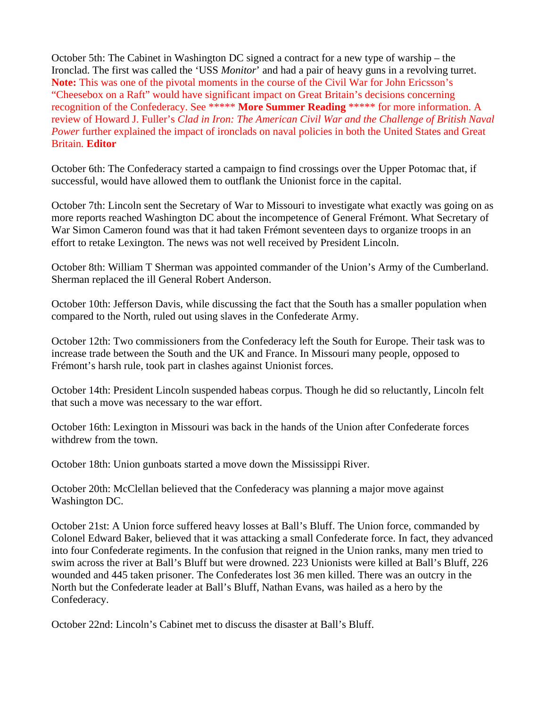October 5th: The Cabinet in Washington DC signed a contract for a new type of warship – the Ironclad. The first was called the 'USS *Monitor*' and had a pair of heavy guns in a revolving turret. **Note:** This was one of the pivotal moments in the course of the Civil War for John Ericsson's "Cheesebox on a Raft" would have significant impact on Great Britain's decisions concerning recognition of the Confederacy. See \*\*\*\*\* **More Summer Reading** \*\*\*\*\* for more information. A review of Howard J. Fuller's *Clad in Iron: The American Civil War and the Challenge of British Naval*  Power further explained the impact of ironclads on naval policies in both the United States and Great Britain*.* **Editor**

October 6th: The Confederacy started a campaign to find crossings over the Upper Potomac that, if successful, would have allowed them to outflank the Unionist force in the capital.

October 7th: Lincoln sent the Secretary of War to Missouri to investigate what exactly was going on as more reports reached Washington DC about the incompetence of General Frémont. What Secretary of War Simon Cameron found was that it had taken Frémont seventeen days to organize troops in an effort to retake Lexington. The news was not well received by President Lincoln.

October 8th: William T Sherman was appointed commander of the Union's Army of the Cumberland. Sherman replaced the ill General Robert Anderson.

October 10th: Jefferson Davis, while discussing the fact that the South has a smaller population when compared to the North, ruled out using slaves in the Confederate Army.

October 12th: Two commissioners from the Confederacy left the South for Europe. Their task was to increase trade between the South and the UK and France. In Missouri many people, opposed to Frémont's harsh rule, took part in clashes against Unionist forces.

October 14th: President Lincoln suspended habeas corpus. Though he did so reluctantly, Lincoln felt that such a move was necessary to the war effort.

October 16th: Lexington in Missouri was back in the hands of the Union after Confederate forces withdrew from the town.

October 18th: Union gunboats started a move down the Mississippi River.

October 20th: McClellan believed that the Confederacy was planning a major move against Washington DC.

October 21st: A Union force suffered heavy losses at Ball's Bluff. The Union force, commanded by Colonel Edward Baker, believed that it was attacking a small Confederate force. In fact, they advanced into four Confederate regiments. In the confusion that reigned in the Union ranks, many men tried to swim across the river at Ball's Bluff but were drowned. 223 Unionists were killed at Ball's Bluff, 226 wounded and 445 taken prisoner. The Confederates lost 36 men killed. There was an outcry in the North but the Confederate leader at Ball's Bluff, Nathan Evans, was hailed as a hero by the Confederacy.

October 22nd: Lincoln's Cabinet met to discuss the disaster at Ball's Bluff.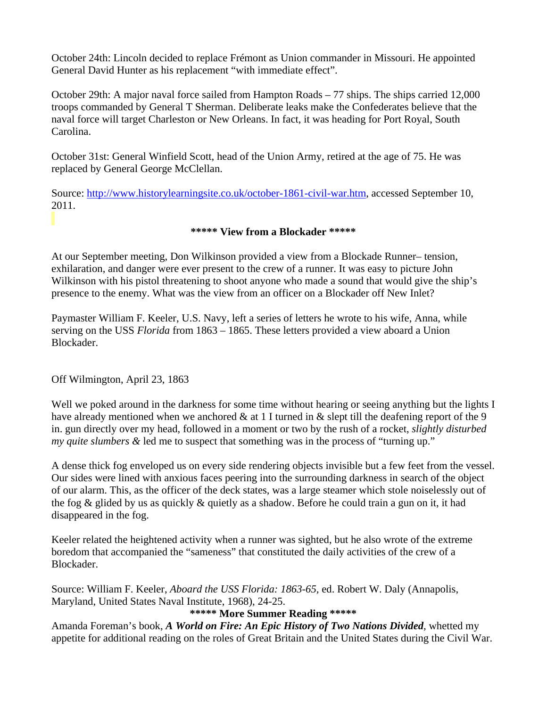October 24th: Lincoln decided to replace Frémont as Union commander in Missouri. He appointed General David Hunter as his replacement "with immediate effect".

October 29th: A major naval force sailed from Hampton Roads – 77 ships. The ships carried 12,000 troops commanded by General T Sherman. Deliberate leaks make the Confederates believe that the naval force will target Charleston or New Orleans. In fact, it was heading for Port Royal, South Carolina.

October 31st: General Winfield Scott, head of the Union Army, retired at the age of 75. He was replaced by General George McClellan.

Source: [http://www.historylearningsite.co.uk/october-1861-civil-war.htm,](http://www.historylearningsite.co.uk/october-1861-civil-war.htm) accessed September 10, 2011.

### **\*\*\*\*\* View from a Blockader \*\*\*\*\***

At our September meeting, Don Wilkinson provided a view from a Blockade Runner– tension, exhilaration, and danger were ever present to the crew of a runner. It was easy to picture John Wilkinson with his pistol threatening to shoot anyone who made a sound that would give the ship's presence to the enemy. What was the view from an officer on a Blockader off New Inlet?

Paymaster William F. Keeler, U.S. Navy, left a series of letters he wrote to his wife, Anna, while serving on the USS *Florida* from 1863 – 1865. These letters provided a view aboard a Union Blockader.

Off Wilmington, April 23, 1863

Well we poked around in the darkness for some time without hearing or seeing anything but the lights I have already mentioned when we anchored  $\&$  at 1 I turned in  $\&$  slept till the deafening report of the 9 in. gun directly over my head, followed in a moment or two by the rush of a rocket, *slightly disturbed my quite slumbers &* led me to suspect that something was in the process of "turning up."

A dense thick fog enveloped us on every side rendering objects invisible but a few feet from the vessel. Our sides were lined with anxious faces peering into the surrounding darkness in search of the object of our alarm. This, as the officer of the deck states, was a large steamer which stole noiselessly out of the fog & glided by us as quickly & quietly as a shadow. Before he could train a gun on it, it had disappeared in the fog.

Keeler related the heightened activity when a runner was sighted, but he also wrote of the extreme boredom that accompanied the "sameness" that constituted the daily activities of the crew of a Blockader.

Source: William F. Keeler, *Aboard the USS Florida: 1863-65,* ed. Robert W. Daly (Annapolis, Maryland, United States Naval Institute, 1968), 24-25.

## **\*\*\*\*\* More Summer Reading \*\*\*\*\***

Amanda Foreman's book, *A World on Fire: An Epic History of Two Nations Divided,* whetted my appetite for additional reading on the roles of Great Britain and the United States during the Civil War.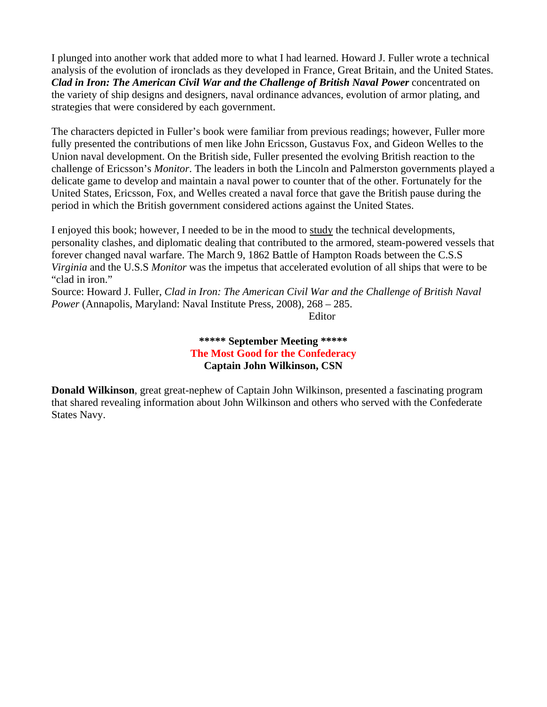I plunged into another work that added more to what I had learned. Howard J. Fuller wrote a technical analysis of the evolution of ironclads as they developed in France, Great Britain, and the United States. *Clad in Iron: The American Civil War and the Challenge of British Naval Power* concentrated on the variety of ship designs and designers, naval ordinance advances, evolution of armor plating, and strategies that were considered by each government.

The characters depicted in Fuller's book were familiar from previous readings; however, Fuller more fully presented the contributions of men like John Ericsson, Gustavus Fox, and Gideon Welles to the Union naval development. On the British side, Fuller presented the evolving British reaction to the challenge of Ericsson's *Monitor*. The leaders in both the Lincoln and Palmerston governments played a delicate game to develop and maintain a naval power to counter that of the other. Fortunately for the United States, Ericsson, Fox, and Welles created a naval force that gave the British pause during the period in which the British government considered actions against the United States.

I enjoyed this book; however, I needed to be in the mood to study the technical developments, personality clashes, and diplomatic dealing that contributed to the armored, steam-powered vessels that forever changed naval warfare. The March 9, 1862 Battle of Hampton Roads between the C.S.S *Virginia* and the U.S.S *Monitor* was the impetus that accelerated evolution of all ships that were to be "clad in iron."

Source: Howard J. Fuller, *Clad in Iron: The American Civil War and the Challenge of British Naval Power* (Annapolis, Maryland: Naval Institute Press, 2008), 268 – 285.

Editor

**\*\*\*\*\* September Meeting \*\*\*\*\* The Most Good for the Confederacy Captain John Wilkinson, CSN**

**Donald Wilkinson**, great great-nephew of Captain John Wilkinson, presented a fascinating program that shared revealing information about John Wilkinson and others who served with the Confederate States Navy.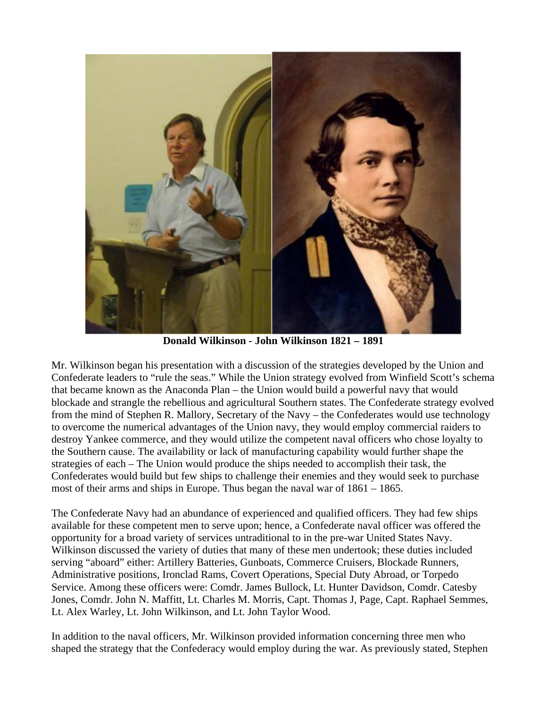

**Donald Wilkinson - John Wilkinson 1821 – 1891**

Mr. Wilkinson began his presentation with a discussion of the strategies developed by the Union and Confederate leaders to "rule the seas." While the Union strategy evolved from Winfield Scott's schema that became known as the Anaconda Plan – the Union would build a powerful navy that would blockade and strangle the rebellious and agricultural Southern states. The Confederate strategy evolved from the mind of Stephen R. Mallory, Secretary of the Navy – the Confederates would use technology to overcome the numerical advantages of the Union navy, they would employ commercial raiders to destroy Yankee commerce, and they would utilize the competent naval officers who chose loyalty to the Southern cause. The availability or lack of manufacturing capability would further shape the strategies of each – The Union would produce the ships needed to accomplish their task, the Confederates would build but few ships to challenge their enemies and they would seek to purchase most of their arms and ships in Europe. Thus began the naval war of 1861 – 1865.

The Confederate Navy had an abundance of experienced and qualified officers. They had few ships available for these competent men to serve upon; hence, a Confederate naval officer was offered the opportunity for a broad variety of services untraditional to in the pre-war United States Navy. Wilkinson discussed the variety of duties that many of these men undertook; these duties included serving "aboard" either: Artillery Batteries, Gunboats, Commerce Cruisers, Blockade Runners, Administrative positions, Ironclad Rams, Covert Operations, Special Duty Abroad, or Torpedo Service. Among these officers were: Comdr. James Bullock, Lt. Hunter Davidson, Comdr. Catesby Jones, Comdr. John N. Maffitt, Lt. Charles M. Morris, Capt. Thomas J, Page, Capt. Raphael Semmes, Lt. Alex Warley, Lt. John Wilkinson, and Lt. John Taylor Wood.

In addition to the naval officers, Mr. Wilkinson provided information concerning three men who shaped the strategy that the Confederacy would employ during the war. As previously stated, Stephen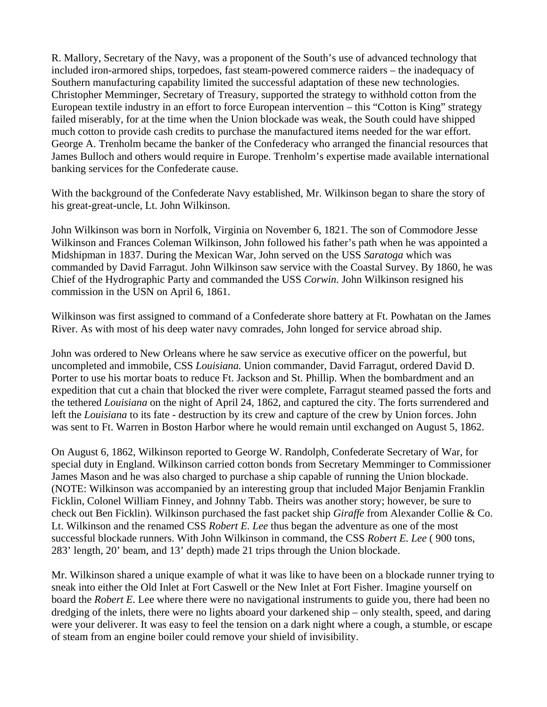R. Mallory, Secretary of the Navy, was a proponent of the South's use of advanced technology that included iron-armored ships, torpedoes, fast steam-powered commerce raiders – the inadequacy of Southern manufacturing capability limited the successful adaptation of these new technologies. Christopher Memminger, Secretary of Treasury, supported the strategy to withhold cotton from the European textile industry in an effort to force European intervention – this "Cotton is King" strategy failed miserably, for at the time when the Union blockade was weak, the South could have shipped much cotton to provide cash credits to purchase the manufactured items needed for the war effort. George A. Trenholm became the banker of the Confederacy who arranged the financial resources that James Bulloch and others would require in Europe. Trenholm's expertise made available international banking services for the Confederate cause.

With the background of the Confederate Navy established, Mr. Wilkinson began to share the story of his great-great-uncle, Lt. John Wilkinson.

John Wilkinson was born in Norfolk, Virginia on November 6, 1821. The son of Commodore Jesse Wilkinson and Frances Coleman Wilkinson, John followed his father's path when he was appointed a Midshipman in 1837. During the Mexican War, John served on the USS *Saratoga* which was commanded by David Farragut. John Wilkinson saw service with the Coastal Survey. By 1860, he was Chief of the Hydrographic Party and commanded the USS *Corwin*. John Wilkinson resigned his commission in the USN on April 6, 1861.

Wilkinson was first assigned to command of a Confederate shore battery at Ft. Powhatan on the James River. As with most of his deep water navy comrades, John longed for service abroad ship.

John was ordered to New Orleans where he saw service as executive officer on the powerful, but uncompleted and immobile, CSS *Louisiana.* Union commander, David Farragut, ordered David D. Porter to use his mortar boats to reduce Ft. Jackson and St. Phillip. When the bombardment and an expedition that cut a chain that blocked the river were complete, Farragut steamed passed the forts and the tethered *Louisiana* on the night of April 24, 1862, and captured the city. The forts surrendered and left the *Louisiana* to its fate - destruction by its crew and capture of the crew by Union forces. John was sent to Ft. Warren in Boston Harbor where he would remain until exchanged on August 5, 1862.

On August 6, 1862, Wilkinson reported to George W. Randolph, Confederate Secretary of War, for special duty in England. Wilkinson carried cotton bonds from Secretary Memminger to Commissioner James Mason and he was also charged to purchase a ship capable of running the Union blockade. (NOTE: Wilkinson was accompanied by an interesting group that included Major Benjamin Franklin Ficklin, Colonel William Finney, and Johnny Tabb. Theirs was another story; however, be sure to check out Ben Ficklin). Wilkinson purchased the fast packet ship *Giraffe* from Alexander Collie & Co. Lt. Wilkinson and the renamed CSS *Robert E. Lee* thus began the adventure as one of the most successful blockade runners. With John Wilkinson in command, the CSS *Robert E. Lee* ( 900 tons, 283' length, 20' beam, and 13' depth) made 21 trips through the Union blockade.

Mr. Wilkinson shared a unique example of what it was like to have been on a blockade runner trying to sneak into either the Old Inlet at Fort Caswell or the New Inlet at Fort Fisher. Imagine yourself on board the *Robert E.* Lee where there were no navigational instruments to guide you, there had been no dredging of the inlets, there were no lights aboard your darkened ship – only stealth, speed, and daring were your deliverer. It was easy to feel the tension on a dark night where a cough, a stumble, or escape of steam from an engine boiler could remove your shield of invisibility.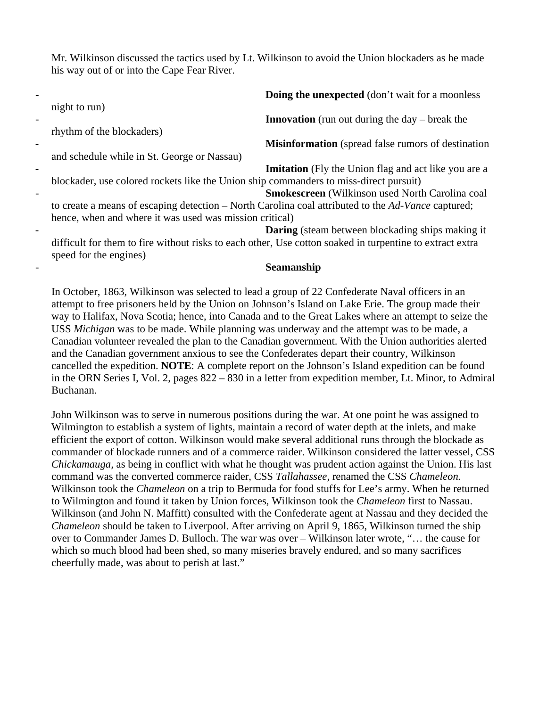Mr. Wilkinson discussed the tactics used by Lt. Wilkinson to avoid the Union blockaders as he made his way out of or into the Cape Fear River.

| <b>Doing the unexpected</b> (don't wait for a moonless                                |
|---------------------------------------------------------------------------------------|
| night to run)                                                                         |
| <b>Innovation</b> (run out during the $day - break$ the                               |
| rhythm of the blockaders)                                                             |
| <b>Misinformation</b> (spread false rumors of destination)                            |
| and schedule while in St. George or Nassau)                                           |
| <b>Imitation</b> (Fly the Union flag and act like you are a                           |
| blockader, use colored rockets like the Union ship commanders to miss-direct pursuit) |

**Smokescreen** (Wilkinson used North Carolina coal to create a means of escaping detection – North Carolina coal attributed to the *Ad-Vance* captured; hence, when and where it was used was mission critical)

**Daring** (steam between blockading ships making it difficult for them to fire without risks to each other, Use cotton soaked in turpentine to extract extra speed for the engines)

#### - **Seamanship**

In October, 1863, Wilkinson was selected to lead a group of 22 Confederate Naval officers in an attempt to free prisoners held by the Union on Johnson's Island on Lake Erie. The group made their way to Halifax, Nova Scotia; hence, into Canada and to the Great Lakes where an attempt to seize the USS *Michigan* was to be made. While planning was underway and the attempt was to be made, a Canadian volunteer revealed the plan to the Canadian government. With the Union authorities alerted and the Canadian government anxious to see the Confederates depart their country, Wilkinson cancelled the expedition. **NOTE**: A complete report on the Johnson's Island expedition can be found in the ORN Series I, Vol. 2, pages 822 – 830 in a letter from expedition member, Lt. Minor, to Admiral Buchanan.

John Wilkinson was to serve in numerous positions during the war. At one point he was assigned to Wilmington to establish a system of lights, maintain a record of water depth at the inlets, and make efficient the export of cotton. Wilkinson would make several additional runs through the blockade as commander of blockade runners and of a commerce raider. Wilkinson considered the latter vessel, CSS *Chickamauga,* as being in conflict with what he thought was prudent action against the Union. His last command was the converted commerce raider, CSS *Tallahassee,* renamed the CSS *Chameleon.*  Wilkinson took the *Chameleon* on a trip to Bermuda for food stuffs for Lee's army. When he returned to Wilmington and found it taken by Union forces, Wilkinson took the *Chameleon* first to Nassau. Wilkinson (and John N. Maffitt) consulted with the Confederate agent at Nassau and they decided the *Chameleon* should be taken to Liverpool. After arriving on April 9, 1865, Wilkinson turned the ship over to Commander James D. Bulloch. The war was over – Wilkinson later wrote, "… the cause for which so much blood had been shed, so many miseries bravely endured, and so many sacrifices cheerfully made, was about to perish at last."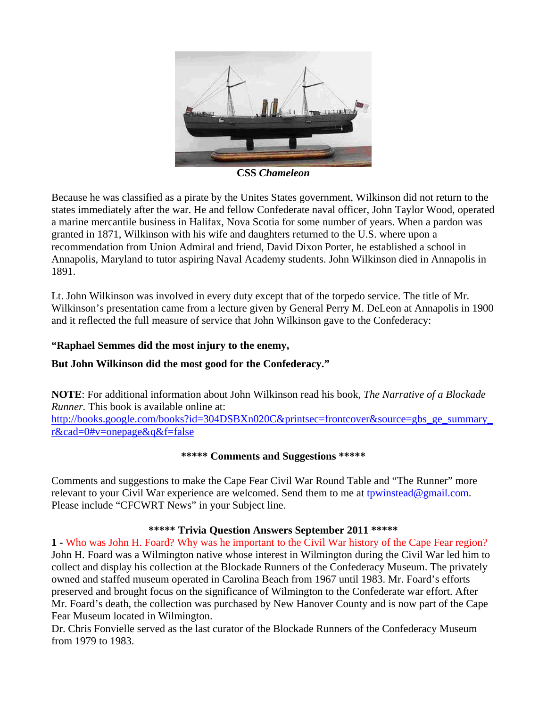

**CSS** *Chameleon*

Because he was classified as a pirate by the Unites States government, Wilkinson did not return to the states immediately after the war. He and fellow Confederate naval officer, John Taylor Wood, operated a marine mercantile business in Halifax, Nova Scotia for some number of years. When a pardon was granted in 1871, Wilkinson with his wife and daughters returned to the U.S. where upon a recommendation from Union Admiral and friend, David Dixon Porter, he established a school in Annapolis, Maryland to tutor aspiring Naval Academy students. John Wilkinson died in Annapolis in 1891.

Lt. John Wilkinson was involved in every duty except that of the torpedo service. The title of Mr. Wilkinson's presentation came from a lecture given by General Perry M. DeLeon at Annapolis in 1900 and it reflected the full measure of service that John Wilkinson gave to the Confederacy:

## **"Raphael Semmes did the most injury to the enemy,**

# **But John Wilkinson did the most good for the Confederacy."**

**NOTE**: For additional information about John Wilkinson read his book, *The Narrative of a Blockade Runner*. This book is available online at: http://books.google.com/books?id=304DSBXn020C&printsec=frontcover&source=gbs\_ge\_summary [r&cad=0#v=onepage&q&f=false](http://books.google.com/books?id=304DSBXn020C&printsec=frontcover&source=gbs_ge_summary_r&cad=0#v=onepage&q&f=false)

## **\*\*\*\*\* Comments and Suggestions \*\*\*\*\***

Comments and suggestions to make the Cape Fear Civil War Round Table and "The Runner" more relevant to your Civil War experience are welcomed. Send them to me at [tpwinstead@gmail.com.](mailto:tpwinstead@gmail.com) Please include "CFCWRT News" in your Subject line.

# **\*\*\*\*\* Trivia Question Answers September 2011 \*\*\*\*\***

**1 -** Who was John H. Foard? Why was he important to the Civil War history of the Cape Fear region? John H. Foard was a Wilmington native whose interest in Wilmington during the Civil War led him to collect and display his collection at the Blockade Runners of the Confederacy Museum. The privately owned and staffed museum operated in Carolina Beach from 1967 until 1983. Mr. Foard's efforts preserved and brought focus on the significance of Wilmington to the Confederate war effort. After Mr. Foard's death, the collection was purchased by New Hanover County and is now part of the Cape Fear Museum located in Wilmington.

Dr. Chris Fonvielle served as the last curator of the Blockade Runners of the Confederacy Museum from 1979 to 1983.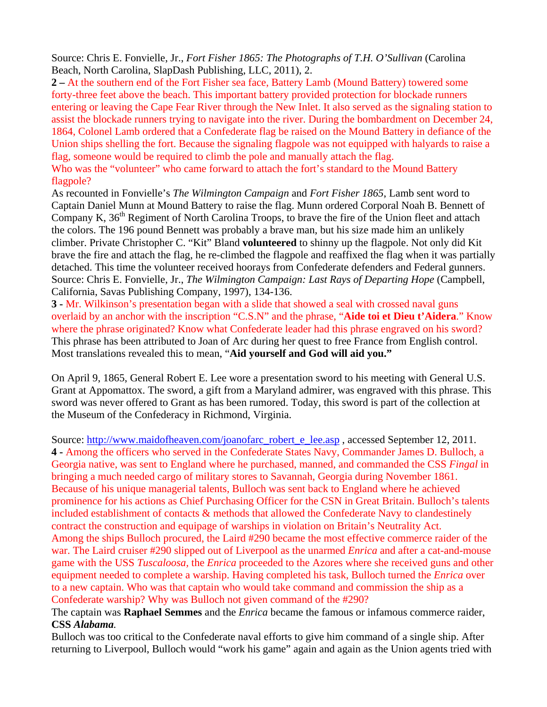Source: Chris E. Fonvielle, Jr., *Fort Fisher 1865: The Photographs of T.H. O'Sullivan* (Carolina Beach, North Carolina, SlapDash Publishing, LLC, 2011), 2.

**2 –** At the southern end of the Fort Fisher sea face, Battery Lamb (Mound Battery) towered some forty-three feet above the beach. This important battery provided protection for blockade runners entering or leaving the Cape Fear River through the New Inlet. It also served as the signaling station to assist the blockade runners trying to navigate into the river. During the bombardment on December 24, 1864, Colonel Lamb ordered that a Confederate flag be raised on the Mound Battery in defiance of the Union ships shelling the fort. Because the signaling flagpole was not equipped with halyards to raise a flag, someone would be required to climb the pole and manually attach the flag.

Who was the "volunteer" who came forward to attach the fort's standard to the Mound Battery flagpole?

As recounted in Fonvielle's *The Wilmington Campaign* and *Fort Fisher 1865*, Lamb sent word to Captain Daniel Munn at Mound Battery to raise the flag. Munn ordered Corporal Noah B. Bennett of Company K, 36<sup>th</sup> Regiment of North Carolina Troops, to brave the fire of the Union fleet and attach the colors. The 196 pound Bennett was probably a brave man, but his size made him an unlikely climber. Private Christopher C. "Kit" Bland **volunteered** to shinny up the flagpole. Not only did Kit brave the fire and attach the flag, he re-climbed the flagpole and reaffixed the flag when it was partially detached. This time the volunteer received hoorays from Confederate defenders and Federal gunners. Source: Chris E. Fonvielle, Jr., *The Wilmington Campaign: Last Rays of Departing Hope* (Campbell, California, Savas Publishing Company, 1997), 134-136.

**3 -** Mr. Wilkinson's presentation began with a slide that showed a seal with crossed naval guns overlaid by an anchor with the inscription "C.S.N" and the phrase, "**Aide toi et Dieu t'Aidera**." Know where the phrase originated? Know what Confederate leader had this phrase engraved on his sword? This phrase has been attributed to Joan of Arc during her quest to free France from English control. Most translations revealed this to mean, "**Aid yourself and God will aid you."** 

On April 9, 1865, General Robert E. Lee wore a presentation sword to his meeting with General U.S. Grant at Appomattox. The sword, a gift from a Maryland admirer, was engraved with this phrase. This sword was never offered to Grant as has been rumored. Today, this sword is part of the collection at the Museum of the Confederacy in Richmond, Virginia.

Source: [http://www.maidofheaven.com/joanofarc\\_robert\\_e\\_lee.asp](http://www.maidofheaven.com/joanofarc_robert_e_lee.asp), accessed September 12, 2011. **4 -** Among the officers who served in the Confederate States Navy, Commander James D. Bulloch, a Georgia native, was sent to England where he purchased, manned, and commanded the CSS *Fingal* in bringing a much needed cargo of military stores to Savannah, Georgia during November 1861. Because of his unique managerial talents, Bulloch was sent back to England where he achieved prominence for his actions as Chief Purchasing Officer for the CSN in Great Britain. Bulloch's talents included establishment of contacts & methods that allowed the Confederate Navy to clandestinely contract the construction and equipage of warships in violation on Britain's Neutrality Act. Among the ships Bulloch procured, the Laird #290 became the most effective commerce raider of the war. The Laird cruiser #290 slipped out of Liverpool as the unarmed *Enrica* and after a cat-and-mouse game with the USS *Tuscaloosa,* the *Enrica* proceeded to the Azores where she received guns and other equipment needed to complete a warship. Having completed his task, Bulloch turned the *Enrica* over to a new captain. Who was that captain who would take command and commission the ship as a Confederate warship? Why was Bulloch not given command of the #290?

The captain was **Raphael Semmes** and the *Enrica* became the famous or infamous commerce raider, **CSS** *Alabama.*

Bulloch was too critical to the Confederate naval efforts to give him command of a single ship. After returning to Liverpool, Bulloch would "work his game" again and again as the Union agents tried with